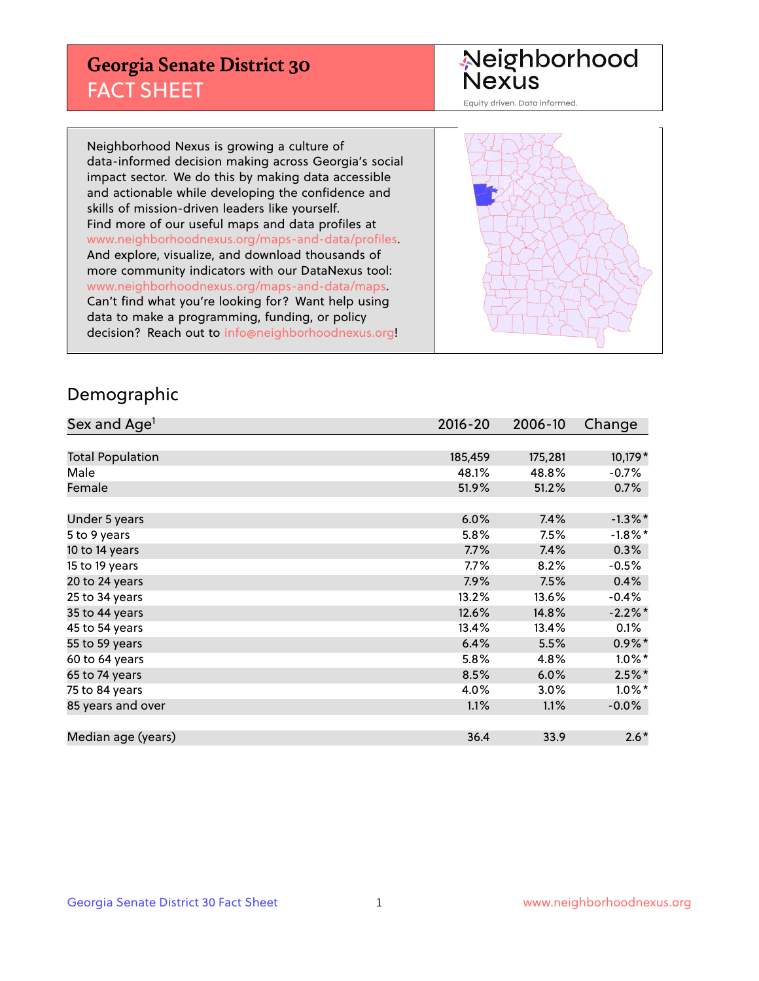## **Georgia Senate District 30** FACT SHEET

# Neighborhood<br>Nexus

Equity driven. Data informed.

Neighborhood Nexus is growing a culture of data-informed decision making across Georgia's social impact sector. We do this by making data accessible and actionable while developing the confidence and skills of mission-driven leaders like yourself. Find more of our useful maps and data profiles at www.neighborhoodnexus.org/maps-and-data/profiles. And explore, visualize, and download thousands of more community indicators with our DataNexus tool: www.neighborhoodnexus.org/maps-and-data/maps. Can't find what you're looking for? Want help using data to make a programming, funding, or policy decision? Reach out to [info@neighborhoodnexus.org!](mailto:info@neighborhoodnexus.org)



### Demographic

| Sex and Age <sup>1</sup> | $2016 - 20$ | 2006-10 | Change     |
|--------------------------|-------------|---------|------------|
|                          |             |         |            |
| <b>Total Population</b>  | 185,459     | 175,281 | 10,179 *   |
| Male                     | 48.1%       | 48.8%   | $-0.7%$    |
| Female                   | 51.9%       | 51.2%   | 0.7%       |
|                          |             |         |            |
| Under 5 years            | 6.0%        | 7.4%    | $-1.3\%$ * |
| 5 to 9 years             | 5.8%        | 7.5%    | $-1.8\%$ * |
| 10 to 14 years           | 7.7%        | 7.4%    | 0.3%       |
| 15 to 19 years           | 7.7%        | 8.2%    | $-0.5%$    |
| 20 to 24 years           | 7.9%        | 7.5%    | 0.4%       |
| 25 to 34 years           | 13.2%       | 13.6%   | $-0.4%$    |
| 35 to 44 years           | 12.6%       | 14.8%   | $-2.2\%$ * |
| 45 to 54 years           | 13.4%       | 13.4%   | 0.1%       |
| 55 to 59 years           | 6.4%        | 5.5%    | $0.9\%$ *  |
| 60 to 64 years           | 5.8%        | 4.8%    | $1.0\%$ *  |
| 65 to 74 years           | 8.5%        | 6.0%    | $2.5%$ *   |
| 75 to 84 years           | 4.0%        | 3.0%    | $1.0\%$ *  |
| 85 years and over        | 1.1%        | 1.1%    | $-0.0%$    |
|                          |             |         |            |
| Median age (years)       | 36.4        | 33.9    | $2.6*$     |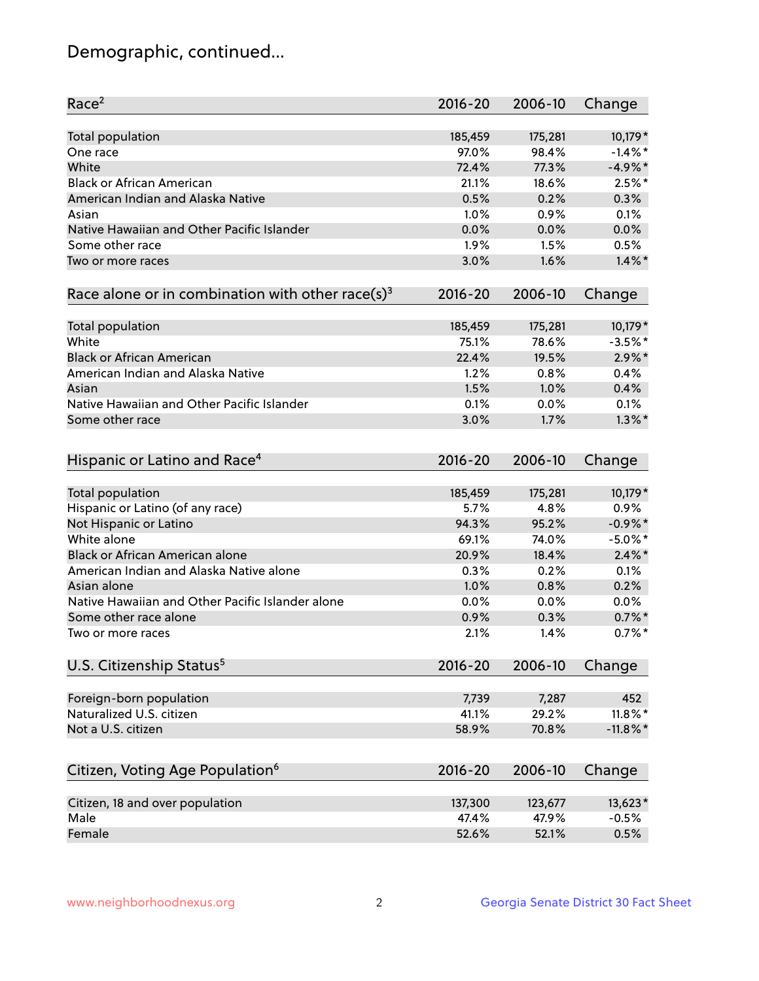## Demographic, continued...

| Race <sup>2</sup>                                            | $2016 - 20$ | 2006-10 | Change      |
|--------------------------------------------------------------|-------------|---------|-------------|
| <b>Total population</b>                                      | 185,459     | 175,281 | 10,179 *    |
| One race                                                     | 97.0%       | 98.4%   | $-1.4\%$ *  |
| White                                                        | 72.4%       | 77.3%   | $-4.9\%$ *  |
| <b>Black or African American</b>                             | 21.1%       | 18.6%   | $2.5%$ *    |
| American Indian and Alaska Native                            | 0.5%        | 0.2%    | 0.3%        |
| Asian                                                        | 1.0%        | 0.9%    | 0.1%        |
| Native Hawaiian and Other Pacific Islander                   | 0.0%        | 0.0%    | 0.0%        |
| Some other race                                              | 1.9%        | 1.5%    | 0.5%        |
| Two or more races                                            | 3.0%        | 1.6%    | $1.4\%$ *   |
| Race alone or in combination with other race(s) <sup>3</sup> | $2016 - 20$ | 2006-10 | Change      |
| Total population                                             | 185,459     | 175,281 | 10,179 *    |
| White                                                        | 75.1%       | 78.6%   | $-3.5%$ *   |
| <b>Black or African American</b>                             | 22.4%       | 19.5%   | $2.9\%$ *   |
| American Indian and Alaska Native                            | 1.2%        | 0.8%    | 0.4%        |
| Asian                                                        | 1.5%        | 1.0%    | 0.4%        |
| Native Hawaiian and Other Pacific Islander                   | 0.1%        | 0.0%    | 0.1%        |
| Some other race                                              | 3.0%        | 1.7%    | $1.3\%$ *   |
| Hispanic or Latino and Race <sup>4</sup>                     | $2016 - 20$ | 2006-10 | Change      |
| <b>Total population</b>                                      | 185,459     | 175,281 | 10,179 *    |
| Hispanic or Latino (of any race)                             | 5.7%        | 4.8%    | 0.9%        |
| Not Hispanic or Latino                                       | 94.3%       | 95.2%   | $-0.9\%$ *  |
| White alone                                                  | 69.1%       | 74.0%   | $-5.0\%$ *  |
| <b>Black or African American alone</b>                       | 20.9%       | 18.4%   | $2.4\%$ *   |
| American Indian and Alaska Native alone                      | 0.3%        | 0.2%    | 0.1%        |
| Asian alone                                                  | 1.0%        | 0.8%    | 0.2%        |
| Native Hawaiian and Other Pacific Islander alone             | 0.0%        | 0.0%    | 0.0%        |
| Some other race alone                                        | 0.9%        | 0.3%    | $0.7\%$ *   |
| Two or more races                                            | 2.1%        | 1.4%    | $0.7\%$ *   |
| U.S. Citizenship Status <sup>5</sup>                         | $2016 - 20$ | 2006-10 | Change      |
| Foreign-born population                                      | 7,739       | 7,287   | 452         |
| Naturalized U.S. citizen                                     | 41.1%       | 29.2%   | $11.8\%$ *  |
| Not a U.S. citizen                                           | 58.9%       | 70.8%   | $-11.8\%$ * |
|                                                              |             |         |             |
| Citizen, Voting Age Population <sup>6</sup>                  | $2016 - 20$ | 2006-10 | Change      |
| Citizen, 18 and over population                              | 137,300     | 123,677 | 13,623*     |
| Male                                                         | 47.4%       | 47.9%   | $-0.5%$     |
| Female                                                       | 52.6%       | 52.1%   | 0.5%        |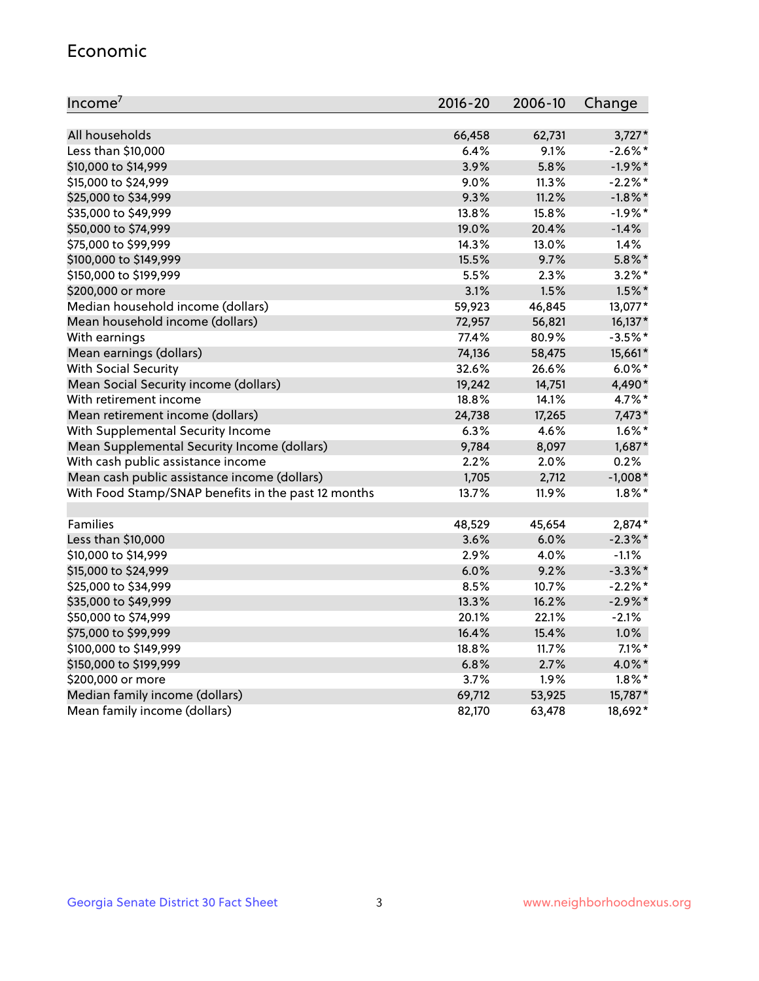#### Economic

| Income <sup>7</sup>                                 | $2016 - 20$ | 2006-10 | Change     |
|-----------------------------------------------------|-------------|---------|------------|
|                                                     |             |         |            |
| All households                                      | 66,458      | 62,731  | $3,727*$   |
| Less than \$10,000                                  | 6.4%        | 9.1%    | $-2.6\%$ * |
| \$10,000 to \$14,999                                | 3.9%        | 5.8%    | $-1.9%$ *  |
| \$15,000 to \$24,999                                | 9.0%        | 11.3%   | $-2.2%$ *  |
| \$25,000 to \$34,999                                | 9.3%        | 11.2%   | $-1.8\%$ * |
| \$35,000 to \$49,999                                | 13.8%       | 15.8%   | $-1.9%$ *  |
| \$50,000 to \$74,999                                | 19.0%       | 20.4%   | $-1.4%$    |
| \$75,000 to \$99,999                                | 14.3%       | 13.0%   | 1.4%       |
| \$100,000 to \$149,999                              | 15.5%       | 9.7%    | $5.8\%$ *  |
| \$150,000 to \$199,999                              | 5.5%        | 2.3%    | $3.2\%$ *  |
| \$200,000 or more                                   | 3.1%        | 1.5%    | $1.5\%$ *  |
| Median household income (dollars)                   | 59,923      | 46,845  | 13,077*    |
| Mean household income (dollars)                     | 72,957      | 56,821  | 16,137*    |
| With earnings                                       | 77.4%       | 80.9%   | $-3.5%$ *  |
| Mean earnings (dollars)                             | 74,136      | 58,475  | 15,661*    |
| <b>With Social Security</b>                         | 32.6%       | 26.6%   | $6.0\%$ *  |
| Mean Social Security income (dollars)               | 19,242      | 14,751  | 4,490*     |
| With retirement income                              | 18.8%       | 14.1%   | 4.7%*      |
| Mean retirement income (dollars)                    | 24,738      | 17,265  | $7,473*$   |
| With Supplemental Security Income                   | 6.3%        | 4.6%    | $1.6\%$ *  |
| Mean Supplemental Security Income (dollars)         | 9,784       | 8,097   | 1,687*     |
| With cash public assistance income                  | 2.2%        | 2.0%    | 0.2%       |
| Mean cash public assistance income (dollars)        | 1,705       | 2,712   | $-1,008*$  |
| With Food Stamp/SNAP benefits in the past 12 months | 13.7%       | 11.9%   | $1.8\%$ *  |
|                                                     |             |         |            |
| Families                                            | 48,529      | 45,654  | 2,874*     |
| Less than \$10,000                                  | 3.6%        | 6.0%    | $-2.3\%$ * |
| \$10,000 to \$14,999                                | 2.9%        | 4.0%    | $-1.1%$    |
| \$15,000 to \$24,999                                | 6.0%        | 9.2%    | $-3.3\%$ * |
| \$25,000 to \$34,999                                | 8.5%        | 10.7%   | $-2.2%$ *  |
| \$35,000 to \$49,999                                | 13.3%       | 16.2%   | $-2.9\%$ * |
| \$50,000 to \$74,999                                | 20.1%       | 22.1%   | $-2.1%$    |
| \$75,000 to \$99,999                                | 16.4%       | 15.4%   | 1.0%       |
| \$100,000 to \$149,999                              | 18.8%       | 11.7%   | $7.1\%$ *  |
| \$150,000 to \$199,999                              | 6.8%        | 2.7%    | 4.0%*      |
| \$200,000 or more                                   | 3.7%        | 1.9%    | $1.8\%$ *  |
| Median family income (dollars)                      | 69,712      | 53,925  | 15,787*    |
| Mean family income (dollars)                        | 82,170      | 63,478  | 18,692*    |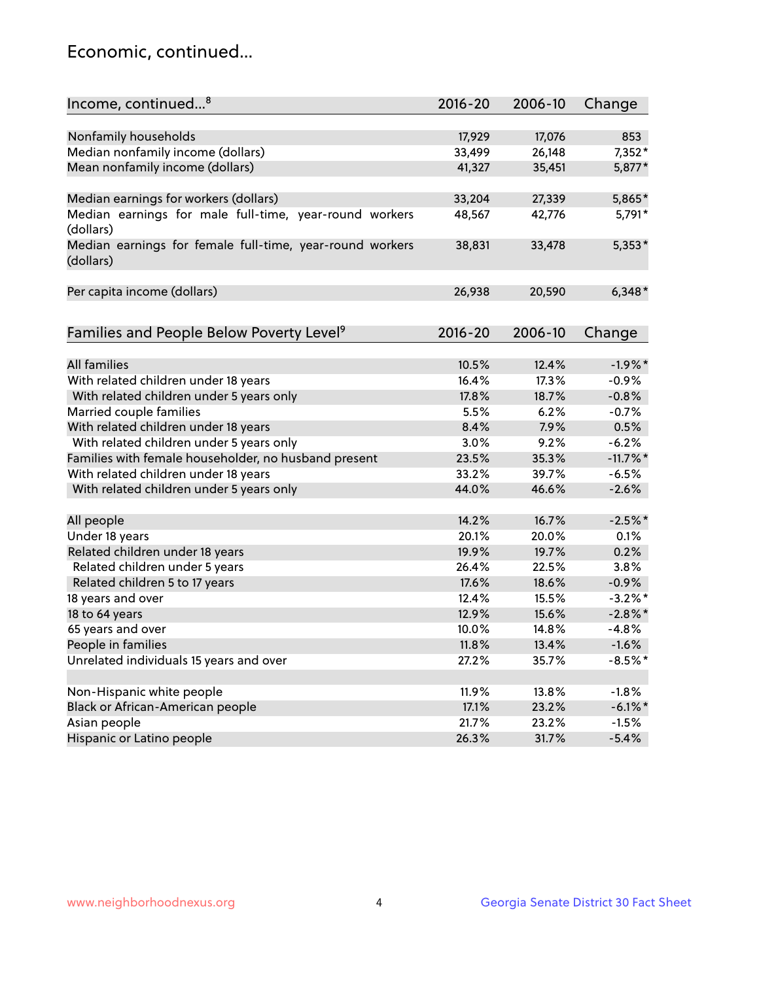## Economic, continued...

| Income, continued <sup>8</sup>                           | $2016 - 20$ | 2006-10 | Change      |
|----------------------------------------------------------|-------------|---------|-------------|
|                                                          |             |         |             |
| Nonfamily households                                     | 17,929      | 17,076  | 853         |
| Median nonfamily income (dollars)                        | 33,499      | 26,148  | $7,352*$    |
| Mean nonfamily income (dollars)                          | 41,327      | 35,451  | 5,877*      |
|                                                          |             |         |             |
| Median earnings for workers (dollars)                    | 33,204      | 27,339  | 5,865*      |
| Median earnings for male full-time, year-round workers   | 48,567      | 42,776  | 5,791*      |
| (dollars)                                                |             |         |             |
| Median earnings for female full-time, year-round workers | 38,831      | 33,478  | $5,353*$    |
| (dollars)                                                |             |         |             |
|                                                          |             |         |             |
| Per capita income (dollars)                              | 26,938      | 20,590  | $6,348*$    |
|                                                          |             |         |             |
|                                                          | $2016 - 20$ | 2006-10 |             |
| Families and People Below Poverty Level <sup>9</sup>     |             |         | Change      |
| <b>All families</b>                                      | 10.5%       | 12.4%   | $-1.9%$ *   |
| With related children under 18 years                     | 16.4%       | 17.3%   | $-0.9%$     |
| With related children under 5 years only                 | 17.8%       | 18.7%   | $-0.8%$     |
| Married couple families                                  | 5.5%        | 6.2%    | $-0.7%$     |
| With related children under 18 years                     | 8.4%        | 7.9%    | 0.5%        |
| With related children under 5 years only                 | 3.0%        | 9.2%    | $-6.2%$     |
| Families with female householder, no husband present     | 23.5%       | 35.3%   | $-11.7\%$ * |
| With related children under 18 years                     | 33.2%       | 39.7%   | $-6.5%$     |
|                                                          | 44.0%       | 46.6%   | $-2.6%$     |
| With related children under 5 years only                 |             |         |             |
| All people                                               | 14.2%       | 16.7%   | $-2.5%$ *   |
| Under 18 years                                           | 20.1%       | 20.0%   | 0.1%        |
| Related children under 18 years                          | 19.9%       | 19.7%   | 0.2%        |
| Related children under 5 years                           | 26.4%       | 22.5%   | 3.8%        |
| Related children 5 to 17 years                           | 17.6%       | 18.6%   | $-0.9%$     |
| 18 years and over                                        | 12.4%       | 15.5%   | $-3.2\%$ *  |
| 18 to 64 years                                           | 12.9%       | 15.6%   | $-2.8\%$ *  |
| 65 years and over                                        | 10.0%       | 14.8%   | $-4.8%$     |
| People in families                                       | 11.8%       | 13.4%   | $-1.6%$     |
| Unrelated individuals 15 years and over                  | 27.2%       | 35.7%   | $-8.5%$ *   |
|                                                          |             |         |             |
| Non-Hispanic white people                                | 11.9%       | 13.8%   | $-1.8%$     |
| Black or African-American people                         | 17.1%       | 23.2%   | $-6.1\%$ *  |
| Asian people                                             | 21.7%       | 23.2%   | $-1.5%$     |
| Hispanic or Latino people                                | 26.3%       | 31.7%   | $-5.4%$     |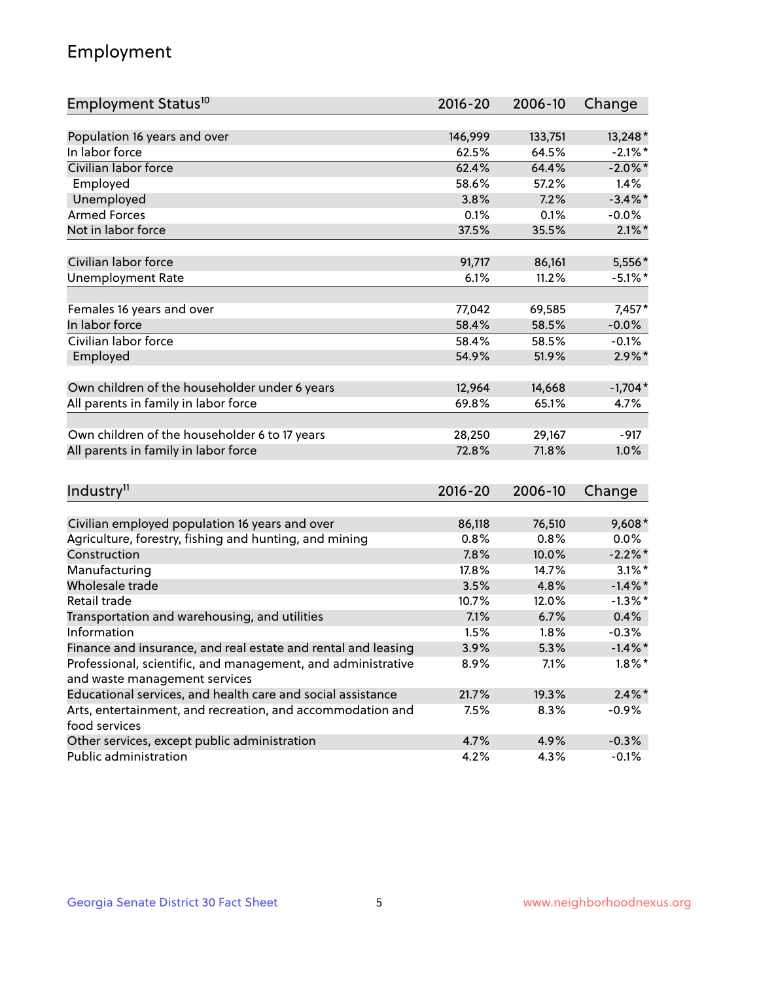## Employment

| Employment Status <sup>10</sup>                                                               | $2016 - 20$ | 2006-10 | Change     |
|-----------------------------------------------------------------------------------------------|-------------|---------|------------|
|                                                                                               |             |         |            |
| Population 16 years and over                                                                  | 146,999     | 133,751 | 13,248*    |
| In labor force                                                                                | 62.5%       | 64.5%   | $-2.1\%$ * |
| Civilian labor force                                                                          | 62.4%       | 64.4%   | $-2.0\%$ * |
| Employed                                                                                      | 58.6%       | 57.2%   | 1.4%       |
| Unemployed                                                                                    | 3.8%        | 7.2%    | $-3.4\%$ * |
| <b>Armed Forces</b>                                                                           | 0.1%        | 0.1%    | $-0.0%$    |
| Not in labor force                                                                            | 37.5%       | 35.5%   | $2.1\%$ *  |
| Civilian labor force                                                                          | 91,717      | 86,161  | 5,556*     |
| <b>Unemployment Rate</b>                                                                      | 6.1%        | 11.2%   | $-5.1\%$ * |
|                                                                                               |             |         |            |
| Females 16 years and over                                                                     | 77,042      | 69,585  | $7,457*$   |
| In labor force                                                                                | 58.4%       | 58.5%   | $-0.0%$    |
| Civilian labor force                                                                          | 58.4%       | 58.5%   | $-0.1%$    |
| Employed                                                                                      | 54.9%       | 51.9%   | $2.9\%$ *  |
| Own children of the householder under 6 years                                                 | 12,964      | 14,668  | $-1,704*$  |
| All parents in family in labor force                                                          | 69.8%       | 65.1%   | 4.7%       |
|                                                                                               |             |         |            |
| Own children of the householder 6 to 17 years                                                 | 28,250      | 29,167  | $-917$     |
| All parents in family in labor force                                                          | 72.8%       | 71.8%   | 1.0%       |
|                                                                                               |             |         |            |
| Industry <sup>11</sup>                                                                        | $2016 - 20$ | 2006-10 | Change     |
|                                                                                               |             |         |            |
| Civilian employed population 16 years and over                                                | 86,118      | 76,510  | $9,608*$   |
| Agriculture, forestry, fishing and hunting, and mining                                        | 0.8%        | 0.8%    | $0.0\%$    |
| Construction                                                                                  | 7.8%        | 10.0%   | $-2.2\%$ * |
| Manufacturing<br>Wholesale trade                                                              | 17.8%       | 14.7%   | $3.1\%$ *  |
|                                                                                               | 3.5%        | 4.8%    | $-1.4\%$ * |
| Retail trade                                                                                  | 10.7%       | 12.0%   | $-1.3\%$ * |
| Transportation and warehousing, and utilities                                                 | 7.1%        | 6.7%    | 0.4%       |
| Information                                                                                   | 1.5%        | 1.8%    | $-0.3%$    |
| Finance and insurance, and real estate and rental and leasing                                 | 3.9%        | 5.3%    | $-1.4\%$ * |
| Professional, scientific, and management, and administrative<br>and waste management services | 8.9%        | 7.1%    | $1.8\%$ *  |
| Educational services, and health care and social assistance                                   | 21.7%       | 19.3%   | $2.4\%$ *  |
| Arts, entertainment, and recreation, and accommodation and                                    | 7.5%        | 8.3%    | $-0.9%$    |
| food services                                                                                 |             |         |            |
| Other services, except public administration                                                  | 4.7%        | 4.9%    | $-0.3%$    |
| Public administration                                                                         | 4.2%        | 4.3%    | $-0.1%$    |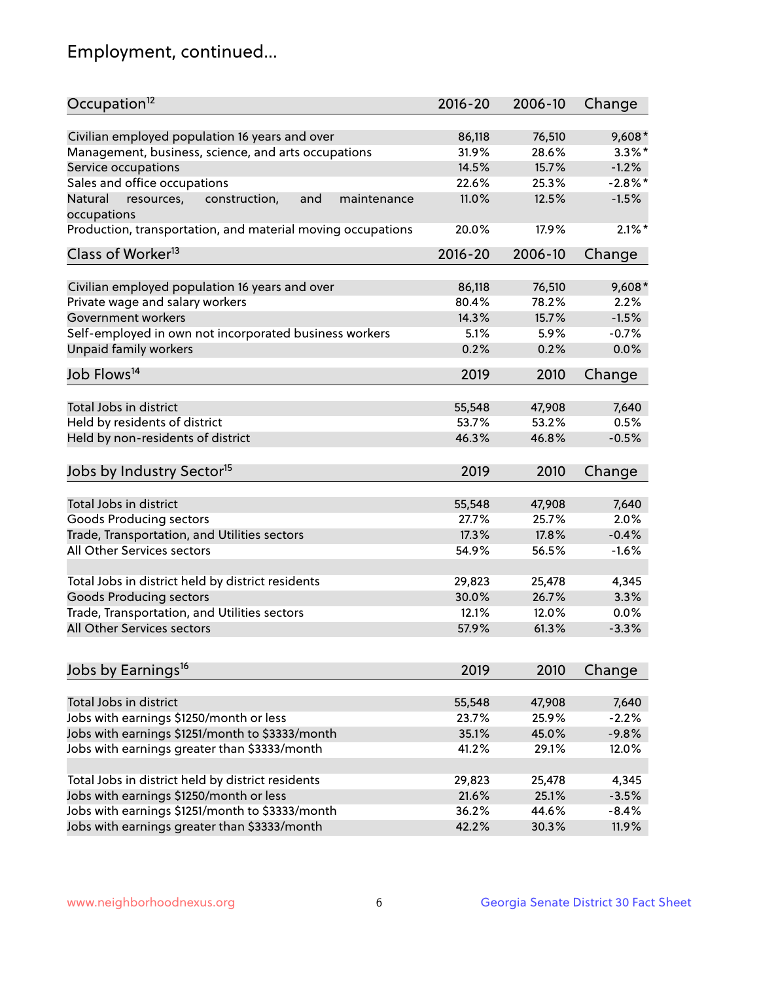## Employment, continued...

| Occupation <sup>12</sup>                                     | $2016 - 20$ | 2006-10 | Change     |
|--------------------------------------------------------------|-------------|---------|------------|
| Civilian employed population 16 years and over               | 86,118      | 76,510  | $9,608*$   |
| Management, business, science, and arts occupations          | 31.9%       | 28.6%   | $3.3\%$ *  |
| Service occupations                                          | 14.5%       | 15.7%   | $-1.2%$    |
| Sales and office occupations                                 | 22.6%       | 25.3%   | $-2.8\%$ * |
| Natural<br>resources,<br>and<br>construction,<br>maintenance | 11.0%       | 12.5%   | $-1.5%$    |
| occupations                                                  |             |         |            |
| Production, transportation, and material moving occupations  | 20.0%       | 17.9%   | $2.1\%$ *  |
| Class of Worker <sup>13</sup>                                | $2016 - 20$ | 2006-10 | Change     |
|                                                              |             |         |            |
| Civilian employed population 16 years and over               | 86,118      | 76,510  | $9,608*$   |
| Private wage and salary workers                              | 80.4%       | 78.2%   | 2.2%       |
| Government workers                                           | 14.3%       | 15.7%   | $-1.5%$    |
| Self-employed in own not incorporated business workers       | 5.1%        | 5.9%    | $-0.7%$    |
| Unpaid family workers                                        | 0.2%        | 0.2%    | 0.0%       |
| Job Flows <sup>14</sup>                                      | 2019        | 2010    | Change     |
|                                                              |             |         |            |
| Total Jobs in district                                       | 55,548      | 47,908  | 7,640      |
| Held by residents of district                                | 53.7%       | 53.2%   | 0.5%       |
| Held by non-residents of district                            | 46.3%       | 46.8%   | $-0.5%$    |
| Jobs by Industry Sector <sup>15</sup>                        | 2019        | 2010    | Change     |
|                                                              |             |         |            |
| Total Jobs in district                                       | 55,548      | 47,908  | 7,640      |
| Goods Producing sectors                                      | 27.7%       | 25.7%   | 2.0%       |
| Trade, Transportation, and Utilities sectors                 | 17.3%       | 17.8%   | $-0.4%$    |
| All Other Services sectors                                   | 54.9%       | 56.5%   | $-1.6%$    |
| Total Jobs in district held by district residents            | 29,823      | 25,478  | 4,345      |
| <b>Goods Producing sectors</b>                               | 30.0%       | 26.7%   | 3.3%       |
| Trade, Transportation, and Utilities sectors                 | 12.1%       | 12.0%   | 0.0%       |
| All Other Services sectors                                   | 57.9%       | 61.3%   | $-3.3%$    |
|                                                              |             |         |            |
| Jobs by Earnings <sup>16</sup>                               | 2019        | 2010    | Change     |
| Total Jobs in district                                       |             |         |            |
|                                                              | 55,548      | 47,908  | 7,640      |
| Jobs with earnings \$1250/month or less                      | 23.7%       | 25.9%   | $-2.2%$    |
| Jobs with earnings \$1251/month to \$3333/month              | 35.1%       | 45.0%   | $-9.8%$    |
| Jobs with earnings greater than \$3333/month                 | 41.2%       | 29.1%   | 12.0%      |
| Total Jobs in district held by district residents            | 29,823      | 25,478  | 4,345      |
| Jobs with earnings \$1250/month or less                      | 21.6%       | 25.1%   | $-3.5%$    |
| Jobs with earnings \$1251/month to \$3333/month              | 36.2%       | 44.6%   | $-8.4%$    |
| Jobs with earnings greater than \$3333/month                 | 42.2%       | 30.3%   | 11.9%      |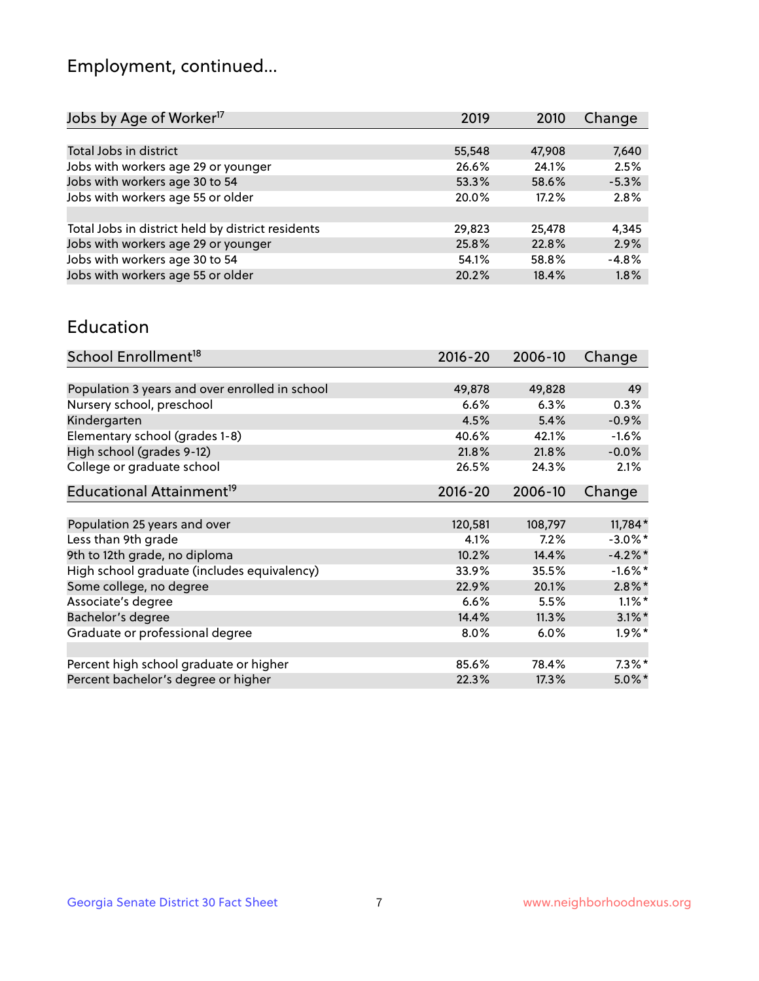## Employment, continued...

| Jobs by Age of Worker <sup>17</sup>               | 2019   | 2010   | Change  |
|---------------------------------------------------|--------|--------|---------|
|                                                   |        |        |         |
| Total Jobs in district                            | 55,548 | 47,908 | 7,640   |
| Jobs with workers age 29 or younger               | 26.6%  | 24.1%  | 2.5%    |
| Jobs with workers age 30 to 54                    | 53.3%  | 58.6%  | $-5.3%$ |
| Jobs with workers age 55 or older                 | 20.0%  | 17.2%  | 2.8%    |
|                                                   |        |        |         |
| Total Jobs in district held by district residents | 29,823 | 25,478 | 4,345   |
| Jobs with workers age 29 or younger               | 25.8%  | 22.8%  | 2.9%    |
| Jobs with workers age 30 to 54                    | 54.1%  | 58.8%  | $-4.8%$ |
| Jobs with workers age 55 or older                 | 20.2%  | 18.4%  | 1.8%    |
|                                                   |        |        |         |

#### Education

| School Enrollment <sup>18</sup>                | $2016 - 20$ | 2006-10 | Change     |
|------------------------------------------------|-------------|---------|------------|
|                                                |             |         |            |
| Population 3 years and over enrolled in school | 49,878      | 49,828  | 49         |
| Nursery school, preschool                      | 6.6%        | 6.3%    | 0.3%       |
| Kindergarten                                   | 4.5%        | 5.4%    | $-0.9%$    |
| Elementary school (grades 1-8)                 | 40.6%       | 42.1%   | $-1.6%$    |
| High school (grades 9-12)                      | 21.8%       | 21.8%   | $-0.0%$    |
| College or graduate school                     | 26.5%       | 24.3%   | 2.1%       |
| Educational Attainment <sup>19</sup>           | $2016 - 20$ | 2006-10 | Change     |
|                                                |             |         |            |
| Population 25 years and over                   | 120,581     | 108,797 | 11,784*    |
| Less than 9th grade                            | 4.1%        | 7.2%    | $-3.0\%$ * |
| 9th to 12th grade, no diploma                  | 10.2%       | 14.4%   | $-4.2%$ *  |
| High school graduate (includes equivalency)    | 33.9%       | 35.5%   | $-1.6\%$ * |
| Some college, no degree                        | 22.9%       | 20.1%   | $2.8\%$ *  |
| Associate's degree                             | 6.6%        | 5.5%    | $1.1\%$ *  |
| Bachelor's degree                              | 14.4%       | 11.3%   | $3.1\%$ *  |
| Graduate or professional degree                | 8.0%        | 6.0%    | $1.9\%$ *  |
|                                                |             |         |            |
| Percent high school graduate or higher         | 85.6%       | 78.4%   | $7.3\%$ *  |
| Percent bachelor's degree or higher            | 22.3%       | 17.3%   | $5.0\%$ *  |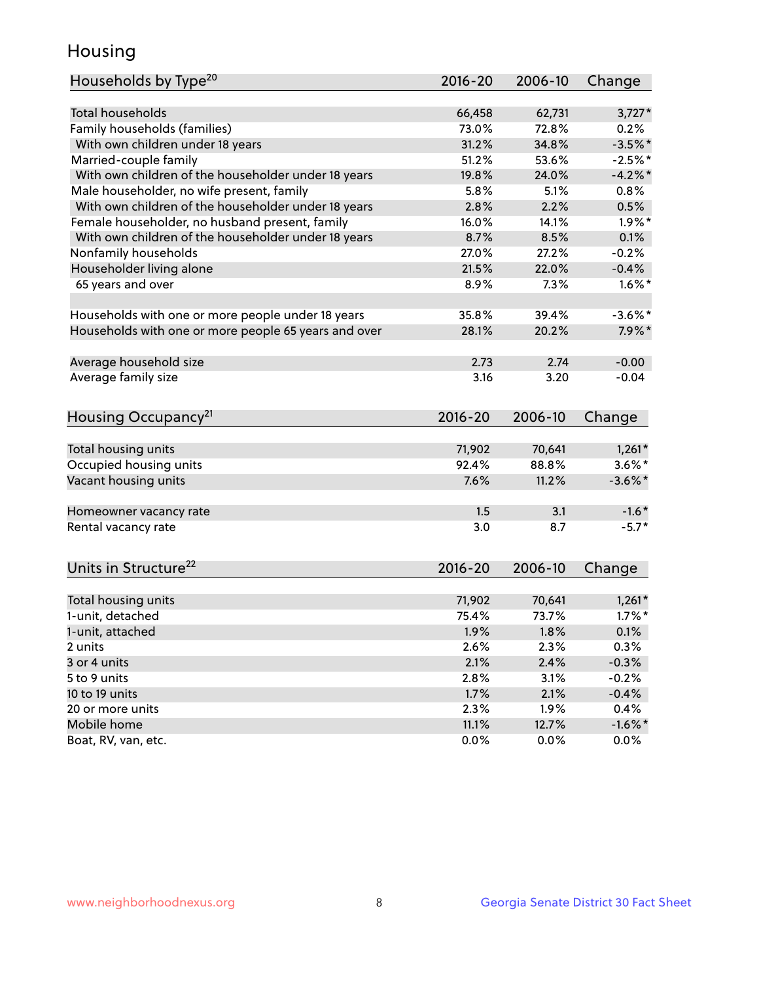## Housing

| Households by Type <sup>20</sup>                     | $2016 - 20$ | 2006-10 | Change     |
|------------------------------------------------------|-------------|---------|------------|
|                                                      |             |         |            |
| Total households                                     | 66,458      | 62,731  | $3,727*$   |
| Family households (families)                         | 73.0%       | 72.8%   | 0.2%       |
| With own children under 18 years                     | 31.2%       | 34.8%   | $-3.5%$ *  |
| Married-couple family                                | 51.2%       | 53.6%   | $-2.5%$ *  |
| With own children of the householder under 18 years  | 19.8%       | 24.0%   | $-4.2%$    |
| Male householder, no wife present, family            | 5.8%        | 5.1%    | 0.8%       |
| With own children of the householder under 18 years  | 2.8%        | 2.2%    | 0.5%       |
| Female householder, no husband present, family       | 16.0%       | 14.1%   | $1.9\%$ *  |
| With own children of the householder under 18 years  | 8.7%        | 8.5%    | 0.1%       |
| Nonfamily households                                 | 27.0%       | 27.2%   | $-0.2%$    |
| Householder living alone                             | 21.5%       | 22.0%   | $-0.4%$    |
| 65 years and over                                    | 8.9%        | 7.3%    | $1.6\%$ *  |
| Households with one or more people under 18 years    | 35.8%       | 39.4%   | $-3.6\%$ * |
| Households with one or more people 65 years and over | 28.1%       | 20.2%   | $7.9\%$ *  |
|                                                      |             |         |            |
| Average household size                               | 2.73        | 2.74    | $-0.00$    |
| Average family size                                  | 3.16        | 3.20    | $-0.04$    |
| Housing Occupancy <sup>21</sup>                      | $2016 - 20$ | 2006-10 | Change     |
| Total housing units                                  | 71,902      | 70,641  | $1,261*$   |
| Occupied housing units                               | 92.4%       | 88.8%   | $3.6\%$ *  |
| Vacant housing units                                 | 7.6%        | 11.2%   | $-3.6\%$ * |
|                                                      |             |         |            |
| Homeowner vacancy rate                               | 1.5         | 3.1     | $-1.6*$    |
| Rental vacancy rate                                  | 3.0         | 8.7     | $-5.7*$    |
| Units in Structure <sup>22</sup>                     | 2016-20     | 2006-10 | Change     |
|                                                      |             |         |            |
| Total housing units                                  | 71,902      | 70,641  | $1,261*$   |
| 1-unit, detached                                     | 75.4%       | 73.7%   | $1.7\%$ *  |
| 1-unit, attached                                     | 1.9%        | 1.8%    | 0.1%       |
| 2 units                                              | 2.6%        | 2.3%    | 0.3%       |
| 3 or 4 units                                         | 2.1%        | 2.4%    | $-0.3%$    |
| 5 to 9 units                                         | 2.8%        | 3.1%    | $-0.2%$    |
| 10 to 19 units                                       | 1.7%        | 2.1%    | $-0.4%$    |
| 20 or more units                                     | 2.3%        | 1.9%    | 0.4%       |
| Mobile home                                          | 11.1%       | 12.7%   | $-1.6\%$ * |
| Boat, RV, van, etc.                                  | 0.0%        | 0.0%    | $0.0\%$    |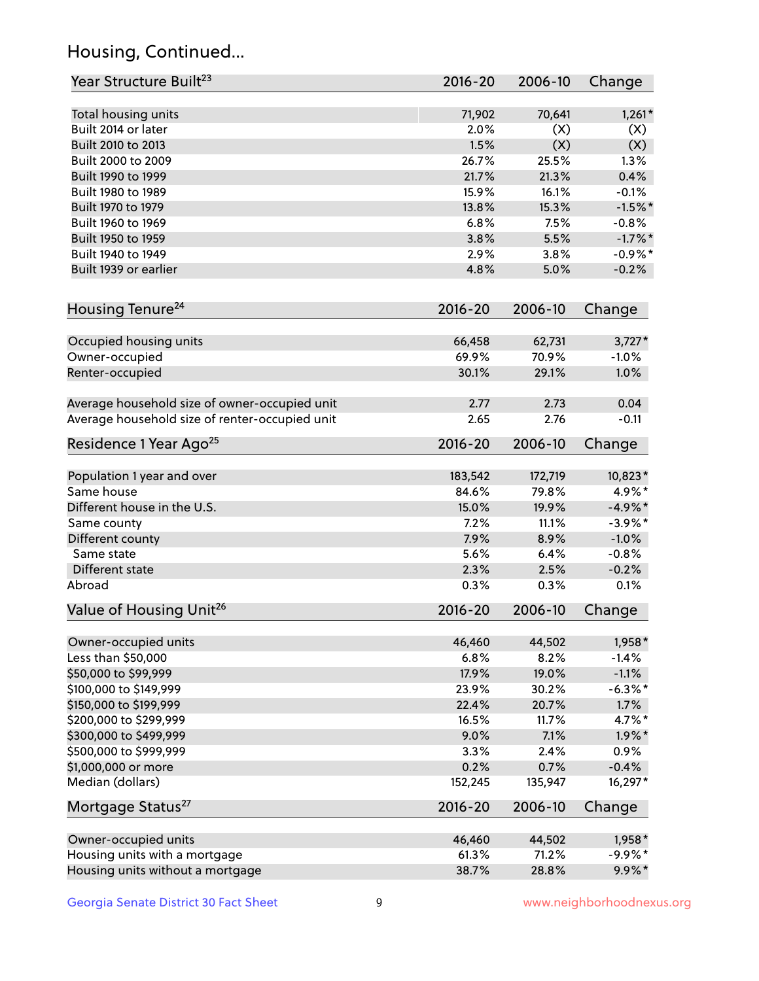## Housing, Continued...

| Year Structure Built <sup>23</sup>             | 2016-20     | 2006-10 | Change     |
|------------------------------------------------|-------------|---------|------------|
| Total housing units                            | 71,902      | 70,641  | $1,261*$   |
| Built 2014 or later                            | 2.0%        | (X)     | (X)        |
| Built 2010 to 2013                             | 1.5%        | (X)     | (X)        |
| Built 2000 to 2009                             | 26.7%       | 25.5%   | 1.3%       |
| Built 1990 to 1999                             | 21.7%       | 21.3%   | 0.4%       |
| Built 1980 to 1989                             | 15.9%       | 16.1%   | $-0.1%$    |
| Built 1970 to 1979                             | 13.8%       | 15.3%   | $-1.5%$ *  |
| Built 1960 to 1969                             | 6.8%        | 7.5%    | $-0.8%$    |
| Built 1950 to 1959                             | 3.8%        | 5.5%    | $-1.7%$ *  |
| Built 1940 to 1949                             | 2.9%        | 3.8%    | $-0.9%$ *  |
| Built 1939 or earlier                          | 4.8%        | 5.0%    | $-0.2%$    |
| Housing Tenure <sup>24</sup>                   | $2016 - 20$ | 2006-10 | Change     |
|                                                |             |         |            |
| Occupied housing units                         | 66,458      | 62,731  | $3,727*$   |
| Owner-occupied                                 | 69.9%       | 70.9%   | $-1.0%$    |
| Renter-occupied                                | 30.1%       | 29.1%   | 1.0%       |
| Average household size of owner-occupied unit  | 2.77        | 2.73    | 0.04       |
| Average household size of renter-occupied unit | 2.65        | 2.76    | $-0.11$    |
| Residence 1 Year Ago <sup>25</sup>             | $2016 - 20$ | 2006-10 | Change     |
| Population 1 year and over                     | 183,542     | 172,719 | 10,823*    |
| Same house                                     | 84.6%       | 79.8%   | 4.9%*      |
| Different house in the U.S.                    | 15.0%       | 19.9%   | $-4.9\%*$  |
| Same county                                    | 7.2%        | 11.1%   | $-3.9\%$ * |
| Different county                               | 7.9%        | 8.9%    | $-1.0%$    |
| Same state                                     | 5.6%        | 6.4%    | $-0.8%$    |
| Different state                                | 2.3%        | 2.5%    | $-0.2%$    |
| Abroad                                         | 0.3%        | 0.3%    | 0.1%       |
| Value of Housing Unit <sup>26</sup>            | $2016 - 20$ | 2006-10 | Change     |
|                                                |             |         |            |
| Owner-occupied units                           | 46,460      | 44,502  | 1,958*     |
| Less than \$50,000                             | 6.8%        | 8.2%    | $-1.4%$    |
| \$50,000 to \$99,999                           | 17.9%       | 19.0%   | $-1.1%$    |
| \$100,000 to \$149,999                         | 23.9%       | 30.2%   | $-6.3\%$ * |
| \$150,000 to \$199,999                         | 22.4%       | 20.7%   | 1.7%       |
| \$200,000 to \$299,999                         | 16.5%       | 11.7%   | 4.7%*      |
| \$300,000 to \$499,999                         | 9.0%        | 7.1%    | $1.9\%$ *  |
| \$500,000 to \$999,999                         | 3.3%        | 2.4%    | 0.9%       |
| \$1,000,000 or more                            | 0.2%        | 0.7%    | $-0.4%$    |
| Median (dollars)                               | 152,245     | 135,947 | 16,297*    |
| Mortgage Status <sup>27</sup>                  | $2016 - 20$ | 2006-10 | Change     |
| Owner-occupied units                           | 46,460      | 44,502  | 1,958*     |
| Housing units with a mortgage                  | 61.3%       | 71.2%   | $-9.9%$ *  |
| Housing units without a mortgage               | 38.7%       | 28.8%   | $9.9\%*$   |
|                                                |             |         |            |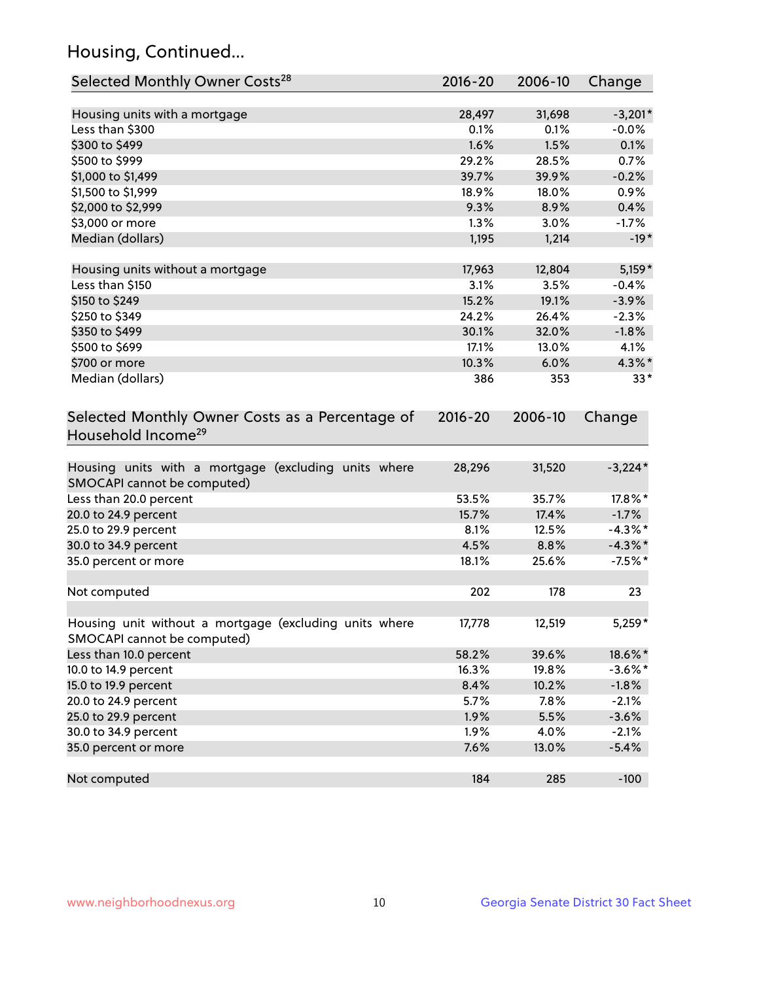## Housing, Continued...

| Selected Monthly Owner Costs <sup>28</sup>                                            | 2016-20     | 2006-10 | Change     |
|---------------------------------------------------------------------------------------|-------------|---------|------------|
| Housing units with a mortgage                                                         | 28,497      | 31,698  | $-3,201*$  |
| Less than \$300                                                                       | 0.1%        | 0.1%    | $-0.0%$    |
| \$300 to \$499                                                                        | 1.6%        | 1.5%    | 0.1%       |
| \$500 to \$999                                                                        | 29.2%       | 28.5%   | 0.7%       |
| \$1,000 to \$1,499                                                                    | 39.7%       | 39.9%   | $-0.2%$    |
| \$1,500 to \$1,999                                                                    | 18.9%       | 18.0%   | 0.9%       |
| \$2,000 to \$2,999                                                                    | 9.3%        | 8.9%    | 0.4%       |
| \$3,000 or more                                                                       | 1.3%        | 3.0%    | $-1.7%$    |
| Median (dollars)                                                                      | 1,195       | 1,214   | $-19*$     |
|                                                                                       |             |         |            |
| Housing units without a mortgage                                                      | 17,963      | 12,804  | $5,159*$   |
| Less than \$150                                                                       | 3.1%        | 3.5%    | $-0.4%$    |
| \$150 to \$249                                                                        | 15.2%       | 19.1%   | $-3.9%$    |
| \$250 to \$349                                                                        | 24.2%       | 26.4%   | $-2.3%$    |
| \$350 to \$499                                                                        | 30.1%       | 32.0%   | $-1.8%$    |
| \$500 to \$699                                                                        | 17.1%       | 13.0%   | 4.1%       |
| \$700 or more                                                                         | 10.3%       | 6.0%    | 4.3%*      |
| Median (dollars)                                                                      | 386         | 353     | $33*$      |
| Selected Monthly Owner Costs as a Percentage of<br>Household Income <sup>29</sup>     | $2016 - 20$ | 2006-10 | Change     |
| Housing units with a mortgage (excluding units where<br>SMOCAPI cannot be computed)   | 28,296      | 31,520  | $-3,224*$  |
| Less than 20.0 percent                                                                | 53.5%       | 35.7%   | 17.8%*     |
| 20.0 to 24.9 percent                                                                  | 15.7%       | 17.4%   | $-1.7%$    |
| 25.0 to 29.9 percent                                                                  | 8.1%        | 12.5%   | $-4.3\%$ * |
| 30.0 to 34.9 percent                                                                  | 4.5%        | 8.8%    | $-4.3\%$ * |
| 35.0 percent or more                                                                  | 18.1%       | 25.6%   | $-7.5%$ *  |
| Not computed                                                                          | 202         | 178     | 23         |
| Housing unit without a mortgage (excluding units where<br>SMOCAPI cannot be computed) | 17,778      | 12,519  | $5,259*$   |
| Less than 10.0 percent                                                                | 58.2%       | 39.6%   | 18.6%*     |
| 10.0 to 14.9 percent                                                                  | 16.3%       | 19.8%   | $-3.6\%$ * |
| 15.0 to 19.9 percent                                                                  | 8.4%        | 10.2%   | $-1.8%$    |
| 20.0 to 24.9 percent                                                                  | 5.7%        | 7.8%    | $-2.1%$    |
| 25.0 to 29.9 percent                                                                  | 1.9%        | 5.5%    | $-3.6%$    |
| 30.0 to 34.9 percent                                                                  | 1.9%        | 4.0%    | $-2.1%$    |
| 35.0 percent or more                                                                  | 7.6%        | 13.0%   | $-5.4%$    |
| Not computed                                                                          | 184         | 285     | $-100$     |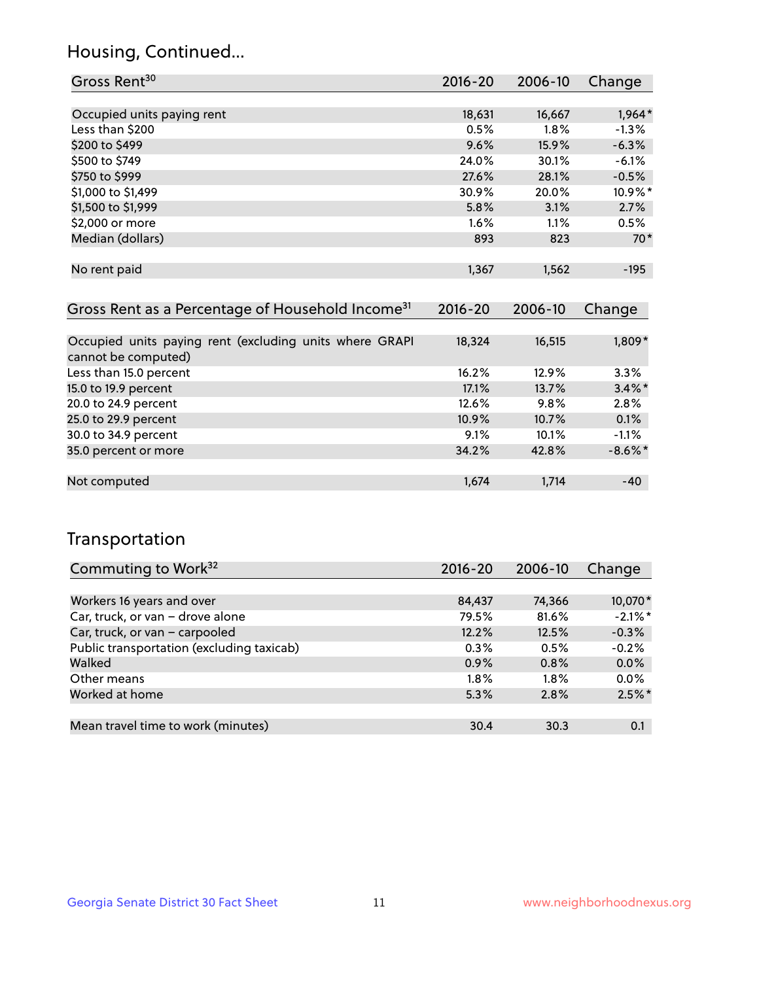## Housing, Continued...

| Gross Rent <sup>30</sup>                                     | 2016-20     | 2006-10 | Change   |
|--------------------------------------------------------------|-------------|---------|----------|
|                                                              |             |         |          |
| Occupied units paying rent                                   | 18,631      | 16,667  | $1,964*$ |
| Less than \$200                                              | 0.5%        | $1.8\%$ | $-1.3\%$ |
| \$200 to \$499                                               | 9.6%        | 15.9%   | $-6.3%$  |
| \$500 to \$749                                               | 24.0%       | 30.1%   | $-6.1%$  |
| \$750 to \$999                                               | 27.6%       | 28.1%   | $-0.5%$  |
| \$1,000 to \$1,499                                           | 30.9%       | 20.0%   | 10.9%*   |
| \$1,500 to \$1,999                                           | 5.8%        | 3.1%    | 2.7%     |
| \$2,000 or more                                              | $1.6\%$     | 1.1%    | 0.5%     |
| Median (dollars)                                             | 893         | 823     | $70*$    |
|                                                              |             |         |          |
| No rent paid                                                 | 1,367       | 1,562   | $-195$   |
|                                                              |             |         |          |
| Gross Rent as a Percentage of Household Income <sup>31</sup> | $2016 - 20$ | 2006-10 | Change   |
|                                                              |             |         |          |
| Occupied units paying rent (excluding units where GRAPI      | 18,324      | 16,515  | $1,809*$ |

| cannot be computed)    |          |         |            |
|------------------------|----------|---------|------------|
| Less than 15.0 percent | 16.2%    | 12.9%   | $3.3\%$    |
| 15.0 to 19.9 percent   | 17.1%    | 13.7%   | $3.4\%$ *  |
| 20.0 to 24.9 percent   | 12.6%    | $9.8\%$ | 2.8%       |
| 25.0 to 29.9 percent   | $10.9\%$ | 10.7%   | 0.1%       |
| 30.0 to 34.9 percent   | $9.1\%$  | 10.1%   | $-1.1%$    |
| 35.0 percent or more   | 34.2%    | 42.8%   | $-8.6\%$ * |
|                        |          |         |            |
| Not computed           | 1,674    | 1,714   | $-40$      |

## Transportation

| Commuting to Work <sup>32</sup>           | 2016-20 | 2006-10 | Change     |
|-------------------------------------------|---------|---------|------------|
|                                           |         |         |            |
| Workers 16 years and over                 | 84,437  | 74,366  | 10,070*    |
| Car, truck, or van - drove alone          | 79.5%   | 81.6%   | $-2.1\%$ * |
| Car, truck, or van - carpooled            | 12.2%   | 12.5%   | $-0.3%$    |
| Public transportation (excluding taxicab) | 0.3%    | 0.5%    | $-0.2%$    |
| Walked                                    | 0.9%    | 0.8%    | 0.0%       |
| Other means                               | $1.8\%$ | $1.8\%$ | 0.0%       |
| Worked at home                            | 5.3%    | 2.8%    | $2.5\%$ *  |
|                                           |         |         |            |
| Mean travel time to work (minutes)        | 30.4    | 30.3    | 0.1        |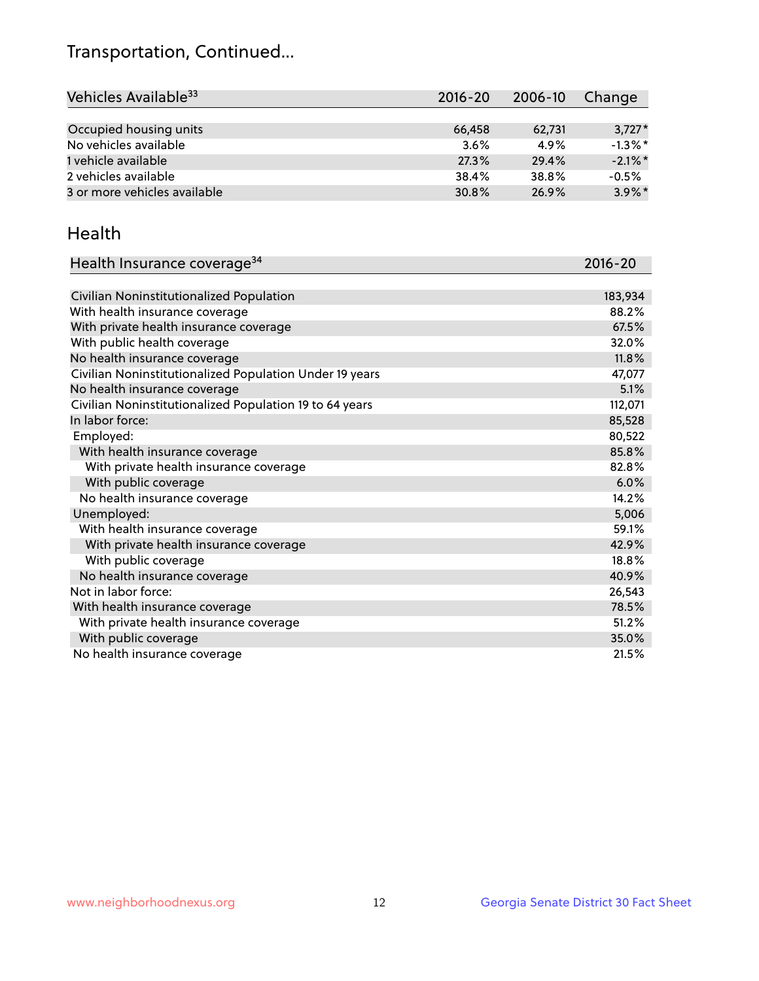## Transportation, Continued...

| Vehicles Available <sup>33</sup> | $2016 - 20$ | $2006 - 10$ | Change     |
|----------------------------------|-------------|-------------|------------|
|                                  |             |             |            |
| Occupied housing units           | 66,458      | 62,731      | $3,727*$   |
| No vehicles available            | 3.6%        | 4.9%        | $-1.3\%$ * |
| 1 vehicle available              | 27.3%       | 29.4%       | $-2.1\%$ * |
| 2 vehicles available             | 38.4%       | 38.8%       | $-0.5%$    |
| 3 or more vehicles available     | 30.8%       | 26.9%       | $3.9\%$ *  |

#### Health

| Health Insurance coverage <sup>34</sup>                 | 2016-20 |
|---------------------------------------------------------|---------|
|                                                         |         |
| Civilian Noninstitutionalized Population                | 183,934 |
| With health insurance coverage                          | 88.2%   |
| With private health insurance coverage                  | 67.5%   |
| With public health coverage                             | 32.0%   |
| No health insurance coverage                            | 11.8%   |
| Civilian Noninstitutionalized Population Under 19 years | 47,077  |
| No health insurance coverage                            | 5.1%    |
| Civilian Noninstitutionalized Population 19 to 64 years | 112,071 |
| In labor force:                                         | 85,528  |
| Employed:                                               | 80,522  |
| With health insurance coverage                          | 85.8%   |
| With private health insurance coverage                  | 82.8%   |
| With public coverage                                    | 6.0%    |
| No health insurance coverage                            | 14.2%   |
| Unemployed:                                             | 5,006   |
| With health insurance coverage                          | 59.1%   |
| With private health insurance coverage                  | 42.9%   |
| With public coverage                                    | 18.8%   |
| No health insurance coverage                            | 40.9%   |
| Not in labor force:                                     | 26,543  |
| With health insurance coverage                          | 78.5%   |
| With private health insurance coverage                  | 51.2%   |
| With public coverage                                    | 35.0%   |
| No health insurance coverage                            | 21.5%   |